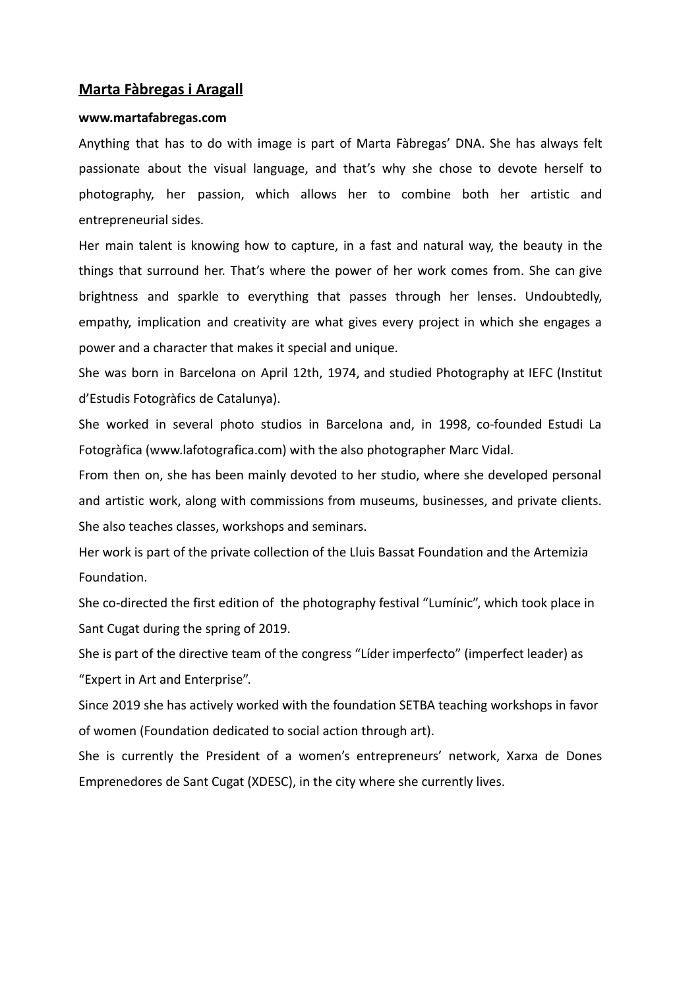#### **Marta Fàbregas i Aragall**

#### **www.martafabregas.com**

Anything that has to do with image is part of Marta Fàbregas' DNA. She has always felt passionate about the visual language, and that's why she chose to devote herself to photography, her passion, which allows her to combine both her artistic and entrepreneurial sides.

Her main talent is knowing how to capture, in a fast and natural way, the beauty in the things that surround her. That's where the power of her work comes from. She can give brightness and sparkle to everything that passes through her lenses. Undoubtedly, empathy, implication and creativity are what gives every project in which she engages a power and a character that makes it special and unique.

She was born in Barcelona on April 12th, 1974, and studied Photography at IEFC (Institut d'Estudis Fotogràfics de Catalunya).

She worked in several photo studios in Barcelona and, in 1998, co-founded Estudi La Fotogràfica (www.lafotografica.com) with the also photographer Marc Vidal.

From then on, she has been mainly devoted to her studio, where she developed personal and artistic work, along with commissions from museums, businesses, and private clients. She also teaches classes, workshops and seminars.

Her work is part of the private collection of the Lluis Bassat Foundation and the Artemizia Foundation.

She co-directed the first edition of the photography festival "Lumínic", which took place in Sant Cugat during the spring of 2019.

She is part of the directive team of the congress "Líder imperfecto" (imperfect leader) as "Expert in Art and Enterprise".

Since 2019 she has actively worked with the foundation SETBA teaching workshops in favor of women (Foundation dedicated to social action through art).

She is currently the President of a women's entrepreneurs' network, Xarxa de Dones Emprenedores de Sant Cugat (XDESC), in the city where she currently lives.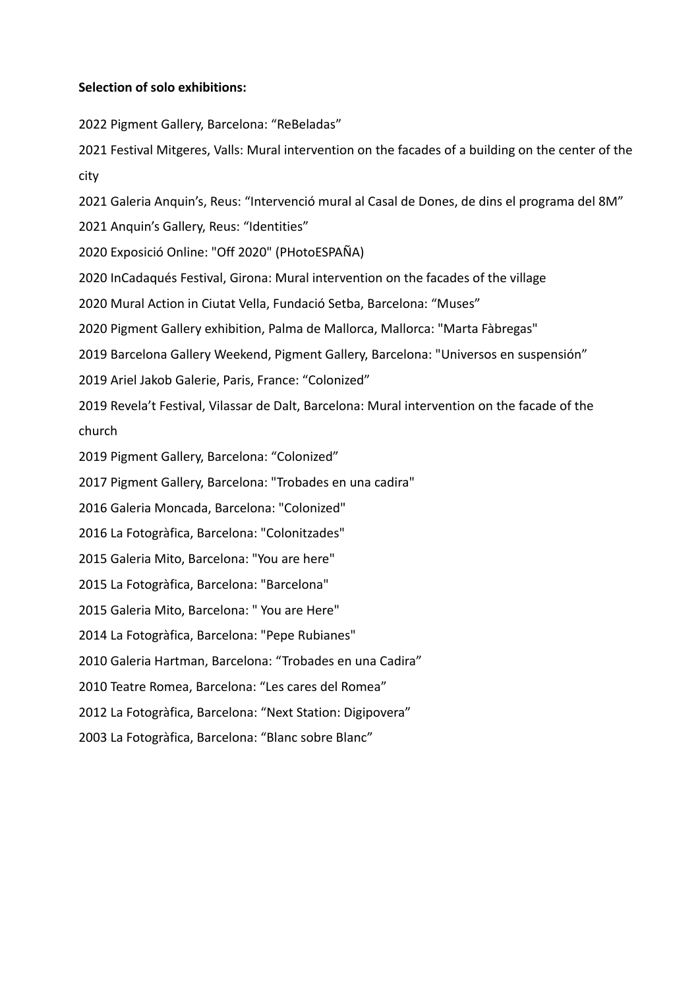### **Selection of solo exhibitions:**

2022 Pigment Gallery, Barcelona: "ReBeladas"

2021 Festival Mitgeres, Valls: Mural intervention on the facades of a building on the center of the city

2021 Galeria Anquin's, Reus: "Intervenció mural al Casal de Dones, de dins el programa del 8M"

2021 Anquin's Gallery, Reus: "Identities"

2020 Exposició Online: "Off 2020" (PHotoESPAÑA)

2020 InCadaqués Festival, Girona: Mural intervention on the facades of the village

2020 Mural Action in Ciutat Vella, Fundació Setba, Barcelona: "Muses"

2020 Pigment Gallery exhibition, Palma de Mallorca, Mallorca: "Marta Fàbregas"

2019 Barcelona Gallery Weekend, Pigment Gallery, Barcelona: "Universos en suspensión"

2019 Ariel Jakob Galerie, Paris, France: "Colonized"

2019 Revela't Festival, Vilassar de Dalt, Barcelona: Mural intervention on the facade of the church

2019 Pigment Gallery, Barcelona: "Colonized"

2017 Pigment Gallery, Barcelona: "Trobades en una cadira"

2016 Galeria Moncada, Barcelona: "Colonized"

2016 La Fotogràfica, Barcelona: "Colonitzades"

2015 Galeria Mito, Barcelona: "You are here"

2015 La Fotogràfica, Barcelona: "Barcelona"

2015 Galeria Mito, Barcelona: " You are Here"

2014 La Fotogràfica, Barcelona: "Pepe Rubianes"

2010 Galeria Hartman, Barcelona: "Trobades en una Cadira"

2010 Teatre Romea, Barcelona: "Les cares del Romea"

2012 La Fotogràfica, Barcelona: "Next Station: Digipovera"

2003 La Fotogràfica, Barcelona: "Blanc sobre Blanc"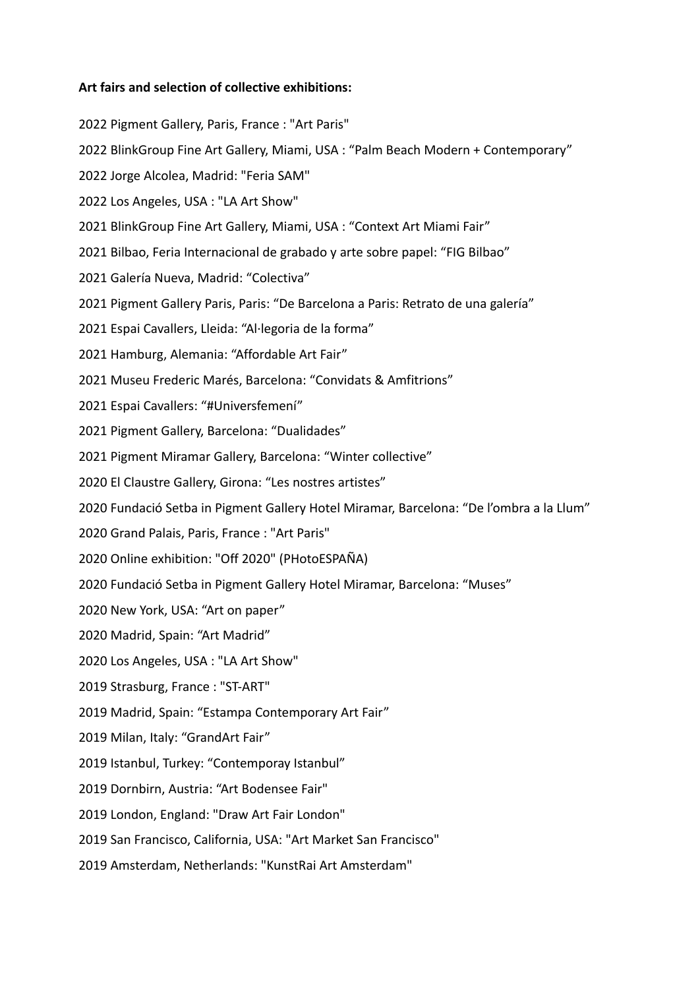### **Art fairs and selection of collective exhibitions:**

2022 Pigment Gallery, Paris, France : "Art Paris" 2022 BlinkGroup Fine Art Gallery, Miami, USA : "Palm Beach Modern + Contemporary" 2022 Jorge Alcolea, Madrid: "Feria SAM" 2022 Los Angeles, USA : "LA Art Show" 2021 BlinkGroup Fine Art Gallery, Miami, USA : "Context Art Miami Fair" 2021 Bilbao, Feria Internacional de grabado y arte sobre papel: "FIG Bilbao" 2021 Galería Nueva, Madrid: "Colectiva" 2021 Pigment Gallery Paris, Paris: "De Barcelona a Paris: Retrato de una galería" 2021 Espai Cavallers, Lleida: "Al·legoria de la forma" 2021 Hamburg, Alemania: "Affordable Art Fair" 2021 Museu Frederic Marés, Barcelona: "Convidats & Amfitrions" 2021 Espai Cavallers: "#Universfemení" 2021 Pigment Gallery, Barcelona: "Dualidades" 2021 Pigment Miramar Gallery, Barcelona: "Winter collective" 2020 El Claustre Gallery, Girona: "Les nostres artistes" 2020 Fundació Setba in Pigment Gallery Hotel Miramar, Barcelona: "De l'ombra a la Llum" 2020 Grand Palais, Paris, France : "Art Paris" 2020 Online exhibition: "Off 2020" (PHotoESPAÑA) 2020 Fundació Setba in Pigment Gallery Hotel Miramar, Barcelona: "Muses" 2020 New York, USA: "Art on paper" 2020 Madrid, Spain: "Art Madrid" 2020 Los Angeles, USA : "LA Art Show" 2019 Strasburg, France : "ST-ART" 2019 Madrid, Spain: "Estampa Contemporary Art Fair" 2019 Milan, Italy: "GrandArt Fair" 2019 Istanbul, Turkey: "Contemporay Istanbul" 2019 Dornbirn, Austria: "Art Bodensee Fair" 2019 London, England: "Draw Art Fair London" 2019 San Francisco, California, USA: "Art Market San Francisco" 2019 Amsterdam, Netherlands: "KunstRai Art Amsterdam"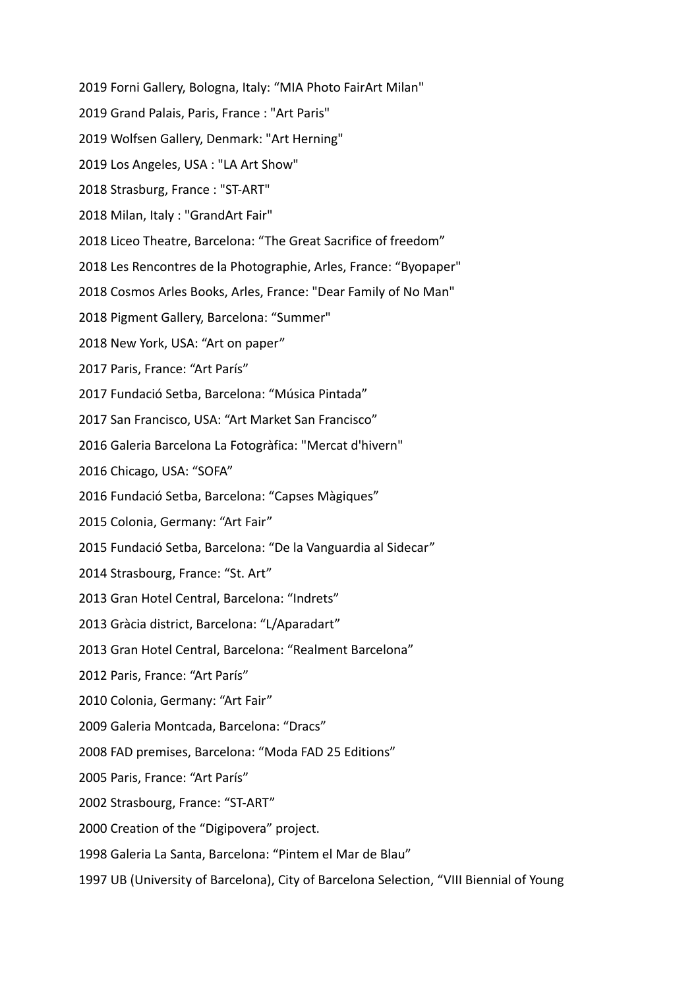2019 Forni Gallery, Bologna, Italy: "MIA Photo FairArt Milan"

- 2019 Grand Palais, Paris, France : "Art Paris"
- 2019 Wolfsen Gallery, Denmark: "Art Herning"
- 2019 Los Angeles, USA : "LA Art Show"
- 2018 Strasburg, France : "ST-ART"
- 2018 Milan, Italy : "GrandArt Fair"
- 2018 Liceo Theatre, Barcelona: "The Great Sacrifice of freedom"
- 2018 Les Rencontres de la Photographie, Arles, France: "Byopaper"
- 2018 Cosmos Arles Books, Arles, France: "Dear Family of No Man"
- 2018 Pigment Gallery, Barcelona: "Summer"
- 2018 New York, USA: "Art on paper"
- 2017 Paris, France: "Art París"
- 2017 Fundació Setba, Barcelona: "Música Pintada"
- 2017 San Francisco, USA: "Art Market San Francisco"
- 2016 Galeria Barcelona La Fotogràfica: "Mercat d'hivern"
- 2016 Chicago, USA: "SOFA"
- 2016 Fundació Setba, Barcelona: "Capses Màgiques"
- 2015 Colonia, Germany: "Art Fair"
- 2015 Fundació Setba, Barcelona: "De la Vanguardia al Sidecar"
- 2014 Strasbourg, France: "St. Art"
- 2013 Gran Hotel Central, Barcelona: "Indrets"
- 2013 Gràcia district, Barcelona: "L/Aparadart"
- 2013 Gran Hotel Central, Barcelona: "Realment Barcelona"
- 2012 Paris, France: "Art París"
- 2010 Colonia, Germany: "Art Fair"
- 2009 Galeria Montcada, Barcelona: "Dracs"
- 2008 FAD premises, Barcelona: "Moda FAD 25 Editions"
- 2005 Paris, France: "Art París"
- 2002 Strasbourg, France: "ST-ART"
- 2000 Creation of the "Digipovera" project.
- 1998 Galeria La Santa, Barcelona: "Pintem el Mar de Blau"
- 1997 UB (University of Barcelona), City of Barcelona Selection, "VIII Biennial of Young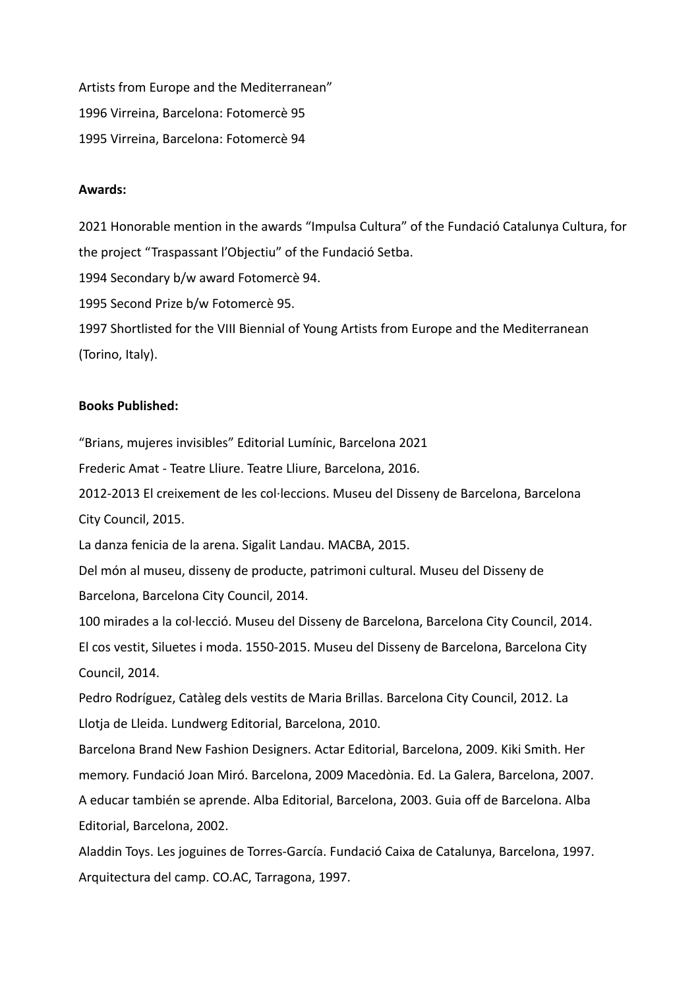Artists from Europe and the Mediterranean" 1996 Virreina, Barcelona: Fotomercè 95 1995 Virreina, Barcelona: Fotomercè 94

#### **Awards:**

2021 Honorable mention in the awards "Impulsa Cultura" of the Fundació Catalunya Cultura, for the project "Traspassant l'Objectiu" of the Fundació Setba.

1994 Secondary b/w award Fotomercè 94.

1995 Second Prize b/w Fotomercè 95.

1997 Shortlisted for the VIII Biennial of Young Artists from Europe and the Mediterranean (Torino, Italy).

### **Books Published:**

"Brians, mujeres invisibles" Editorial Lumínic, Barcelona 2021

Frederic Amat - Teatre Lliure. Teatre Lliure, Barcelona, 2016.

2012-2013 El creixement de les col·leccions. Museu del Disseny de Barcelona, Barcelona City Council, 2015.

La danza fenicia de la arena. Sigalit Landau. MACBA, 2015.

Del món al museu, disseny de producte, patrimoni cultural. Museu del Disseny de Barcelona, Barcelona City Council, 2014.

100 mirades a la col·lecció. Museu del Disseny de Barcelona, Barcelona City Council, 2014. El cos vestit, Siluetes i moda. 1550-2015. Museu del Disseny de Barcelona, Barcelona City Council, 2014.

Pedro Rodríguez, Catàleg dels vestits de Maria Brillas. Barcelona City Council, 2012. La Llotja de Lleida. Lundwerg Editorial, Barcelona, 2010.

Barcelona Brand New Fashion Designers. Actar Editorial, Barcelona, 2009. Kiki Smith. Her memory. Fundació Joan Miró. Barcelona, 2009 Macedònia. Ed. La Galera, Barcelona, 2007. A educar también se aprende. Alba Editorial, Barcelona, 2003. Guia off de Barcelona. Alba Editorial, Barcelona, 2002.

Aladdin Toys. Les joguines de Torres-García. Fundació Caixa de Catalunya, Barcelona, 1997. Arquitectura del camp. CO.AC, Tarragona, 1997.